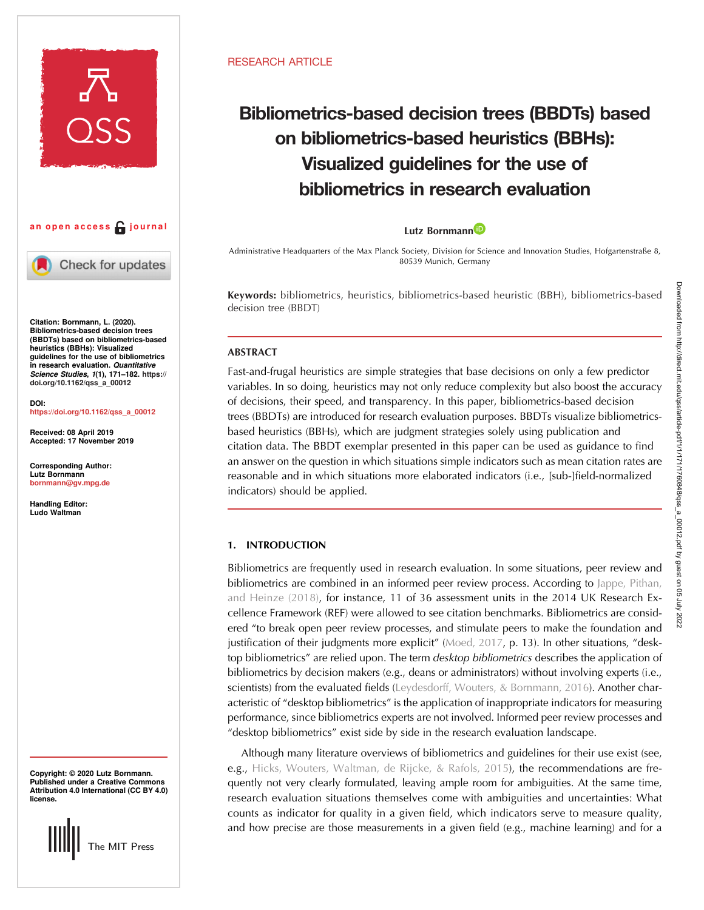

# an open access  $\bigcap$  journal

Check for updates

Citation: Bornmann, L. (2020). Bibliometrics-based decision trees (BBDTs) based on bibliometrics-based heuristics (BBHs): Visualized guidelines for the use of bibliometrics in research evaluation. Quantitative Science Studies, 1(1), 171–182. [https://](https://doi.org/10.1162/qss_a_00012) [doi.org/10.1162/qss\\_a\\_00012](https://doi.org/10.1162/qss_a_00012)

DOI: [https://doi.org/10.1162/qss\\_a\\_00012](https://doi.org/10.1162/qss_a_00012)

Received: 08 April 2019 Accepted: 17 November 2019

Corresponding Author: Lutz Bornmann [bornmann@gv.mpg.de](mailto:bornmann@gv.mpg.de)

Handling Editor: Ludo Waltman

# RESEARCH ARTICLE

# Bibliometrics-based decision trees (BBDTs) based on bibliometrics-based heuristics (BBHs): Visualized guidelines for the use of bibliometrics in research evaluation

# Lutz Bornmann<sup>1D</sup>

Administrative Headquarters of the Max Planck Society, Division for Science and Innovation Studies, Hofgartenstraße 8, 80539 Munich, Germany

Keywords: bibliometrics, heuristics, bibliometrics-based heuristic (BBH), bibliometrics-based decision tree (BBDT)

# **ABSTRACT**

Fast-and-frugal heuristics are simple strategies that base decisions on only a few predictor variables. In so doing, heuristics may not only reduce complexity but also boost the accuracy of decisions, their speed, and transparency. In this paper, bibliometrics-based decision trees (BBDTs) are introduced for research evaluation purposes. BBDTs visualize bibliometricsbased heuristics (BBHs), which are judgment strategies solely using publication and citation data. The BBDT exemplar presented in this paper can be used as guidance to find an answer on the question in which situations simple indicators such as mean citation rates are reasonable and in which situations more elaborated indicators (i.e., [sub-]field-normalized indicators) should be applied.

# 1. INTRODUCTION

Bibliometrics are frequently used in research evaluation. In some situations, peer review and bibliometrics are combined in an informed peer review process. According to [Jappe, Pithan,](#page-10-0) [and Heinze \(2018\),](#page-10-0) for instance, 11 of 36 assessment units in the 2014 UK Research Excellence Framework (REF) were allowed to see citation benchmarks. Bibliometrics are considered "to break open peer review processes, and stimulate peers to make the foundation and justification of their judgments more explicit" [\(Moed, 2017](#page-11-0), p. 13). In other situations, "desktop bibliometrics" are relied upon. The term desktop bibliometrics describes the application of bibliometrics by decision makers (e.g., deans or administrators) without involving experts (i.e., scientists) from the evaluated fields ([Leydesdorff, Wouters, & Bornmann, 2016](#page-11-0)). Another characteristic of "desktop bibliometrics" is the application of inappropriate indicators for measuring performance, since bibliometrics experts are not involved. Informed peer review processes and "desktop bibliometrics" exist side by side in the research evaluation landscape.

Although many literature overviews of bibliometrics and guidelines for their use exist (see, e.g., [Hicks, Wouters, Waltman, de Rijcke, & Rafols, 2015\)](#page-10-0), the recommendations are frequently not very clearly formulated, leaving ample room for ambiguities. At the same time, research evaluation situations themselves come with ambiguities and uncertainties: What counts as indicator for quality in a given field, which indicators serve to measure quality, and how precise are those measurements in a given field (e.g., machine learning) and for a

Copyright: © 2020 Lutz Bornmann. Published under a Creative Commons Attribution 4.0 International (CC BY 4.0) license.

The MIT Press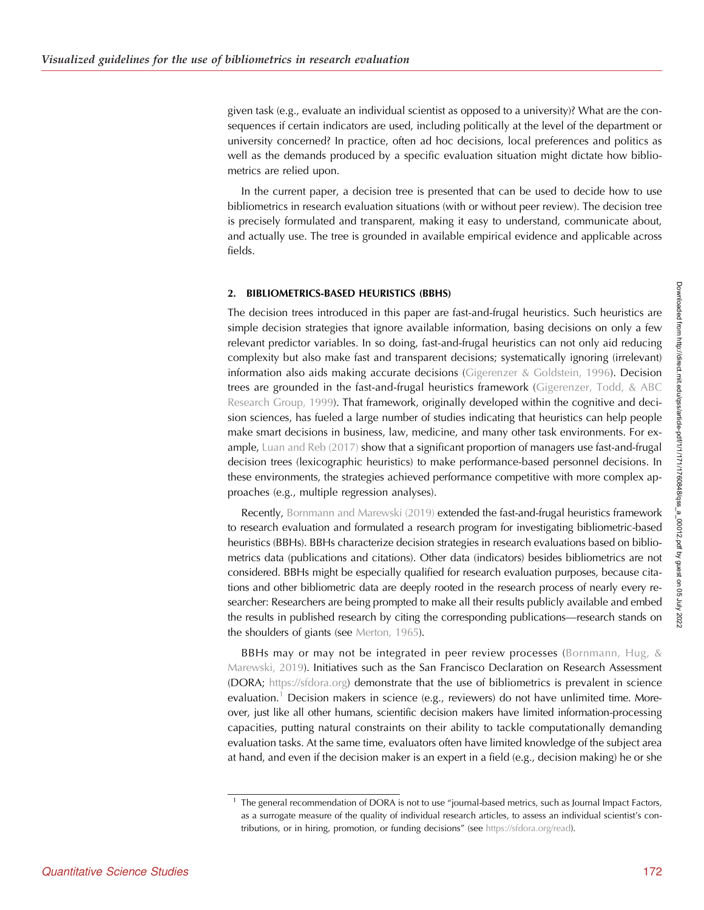given task (e.g., evaluate an individual scientist as opposed to a university)? What are the consequences if certain indicators are used, including politically at the level of the department or university concerned? In practice, often ad hoc decisions, local preferences and politics as well as the demands produced by a specific evaluation situation might dictate how bibliometrics are relied upon.

In the current paper, a decision tree is presented that can be used to decide how to use bibliometrics in research evaluation situations (with or without peer review). The decision tree is precisely formulated and transparent, making it easy to understand, communicate about, and actually use. The tree is grounded in available empirical evidence and applicable across fields.

# 2. BIBLIOMETRICS-BASED HEURISTICS (BBHS)

The decision trees introduced in this paper are fast-and-frugal heuristics. Such heuristics are simple decision strategies that ignore available information, basing decisions on only a few relevant predictor variables. In so doing, fast-and-frugal heuristics can not only aid reducing complexity but also make fast and transparent decisions; systematically ignoring (irrelevant) information also aids making accurate decisions ([Gigerenzer & Goldstein, 1996\)](#page-10-0). Decision trees are grounded in the fast-and-frugal heuristics framework [\(Gigerenzer, Todd, & ABC](#page-10-0) [Research Group, 1999\)](#page-10-0). That framework, originally developed within the cognitive and decision sciences, has fueled a large number of studies indicating that heuristics can help people make smart decisions in business, law, medicine, and many other task environments. For ex-ample, [Luan and Reb \(2017\)](#page-11-0) show that a significant proportion of managers use fast-and-frugal decision trees (lexicographic heuristics) to make performance-based personnel decisions. In these environments, the strategies achieved performance competitive with more complex approaches (e.g., multiple regression analyses).

Recently, [Bornmann and Marewski \(2019\)](#page-10-0) extended the fast-and-frugal heuristics framework to research evaluation and formulated a research program for investigating bibliometric-based heuristics (BBHs). BBHs characterize decision strategies in research evaluations based on bibliometrics data (publications and citations). Other data (indicators) besides bibliometrics are not considered. BBHs might be especially qualified for research evaluation purposes, because citations and other bibliometric data are deeply rooted in the research process of nearly every researcher: Researchers are being prompted to make all their results publicly available and embed the results in published research by citing the corresponding publications—research stands on the shoulders of giants (see [Merton, 1965](#page-11-0)).

BBHs may or may not be integrated in peer review processes (Bornmann, Hug,  $\&$ [Marewski, 2019](#page-10-0)). Initiatives such as the San Francisco Declaration on Research Assessment (DORA; <https://sfdora.org>) demonstrate that the use of bibliometrics is prevalent in science evaluation.<sup>1</sup> Decision makers in science (e.g., reviewers) do not have unlimited time. Moreover, just like all other humans, scientific decision makers have limited information-processing capacities, putting natural constraints on their ability to tackle computationally demanding evaluation tasks. At the same time, evaluators often have limited knowledge of the subject area at hand, and even if the decision maker is an expert in a field (e.g., decision making) he or she

<sup>1</sup> The general recommendation of DORA is not to use "journal-based metrics, such as Journal Impact Factors, as a surrogate measure of the quality of individual research articles, to assess an individual scientist's contributions, or in hiring, promotion, or funding decisions" (see <https://sfdora.org/read>).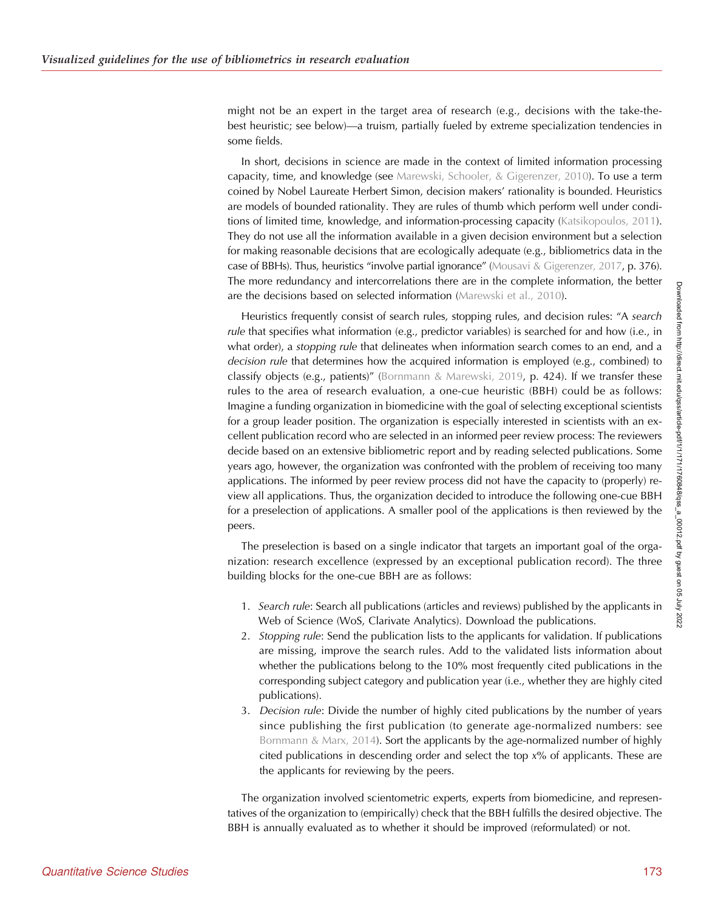might not be an expert in the target area of research (e.g., decisions with the take-thebest heuristic; see below)—a truism, partially fueled by extreme specialization tendencies in some fields.

In short, decisions in science are made in the context of limited information processing capacity, time, and knowledge (see [Marewski, Schooler, & Gigerenzer, 2010\)](#page-11-0). To use a term coined by Nobel Laureate Herbert Simon, decision makers' rationality is bounded. Heuristics are models of bounded rationality. They are rules of thumb which perform well under conditions of limited time, knowledge, and information-processing capacity [\(Katsikopoulos, 2011\)](#page-11-0). They do not use all the information available in a given decision environment but a selection for making reasonable decisions that are ecologically adequate (e.g., bibliometrics data in the case of BBHs). Thus, heuristics "involve partial ignorance" [\(Mousavi & Gigerenzer, 2017](#page-11-0), p. 376). The more redundancy and intercorrelations there are in the complete information, the better are the decisions based on selected information [\(Marewski et al., 2010](#page-11-0)).

Heuristics frequently consist of search rules, stopping rules, and decision rules: "A search rule that specifies what information (e.g., predictor variables) is searched for and how (i.e., in what order), a *stopping rule* that delineates when information search comes to an end, and a decision rule that determines how the acquired information is employed (e.g., combined) to classify objects (e.g., patients)" ([Bornmann & Marewski, 2019,](#page-10-0) p. 424). If we transfer these rules to the area of research evaluation, a one-cue heuristic (BBH) could be as follows: Imagine a funding organization in biomedicine with the goal of selecting exceptional scientists for a group leader position. The organization is especially interested in scientists with an excellent publication record who are selected in an informed peer review process: The reviewers decide based on an extensive bibliometric report and by reading selected publications. Some years ago, however, the organization was confronted with the problem of receiving too many applications. The informed by peer review process did not have the capacity to (properly) review all applications. Thus, the organization decided to introduce the following one-cue BBH for a preselection of applications. A smaller pool of the applications is then reviewed by the peers.

The preselection is based on a single indicator that targets an important goal of the organization: research excellence (expressed by an exceptional publication record). The three building blocks for the one-cue BBH are as follows:

- 1. Search rule: Search all publications (articles and reviews) published by the applicants in Web of Science (WoS, Clarivate Analytics). Download the publications.
- 2. Stopping rule: Send the publication lists to the applicants for validation. If publications are missing, improve the search rules. Add to the validated lists information about whether the publications belong to the 10% most frequently cited publications in the corresponding subject category and publication year (i.e., whether they are highly cited publications).
- 3. Decision rule: Divide the number of highly cited publications by the number of years since publishing the first publication (to generate age-normalized numbers: see [Bornmann & Marx, 2014](#page-10-0)). Sort the applicants by the age-normalized number of highly cited publications in descending order and select the top x% of applicants. These are the applicants for reviewing by the peers.

The organization involved scientometric experts, experts from biomedicine, and representatives of the organization to (empirically) check that the BBH fulfills the desired objective. The BBH is annually evaluated as to whether it should be improved (reformulated) or not.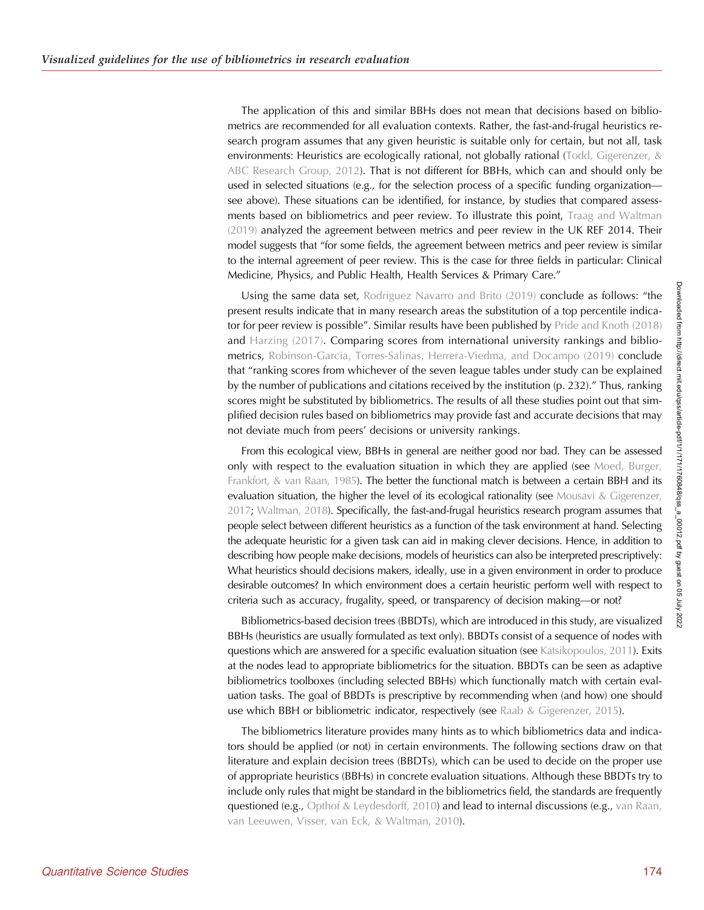The application of this and similar BBHs does not mean that decisions based on bibliometrics are recommended for all evaluation contexts. Rather, the fast-and-frugal heuristics research program assumes that any given heuristic is suitable only for certain, but not all, task environments: Heuristics are ecologically rational, not globally rational (Todd, Gigerenzer,  $\&$ [ABC Research Group, 2012](#page-11-0)). That is not different for BBHs, which can and should only be used in selected situations (e.g., for the selection process of a specific funding organization see above). These situations can be identified, for instance, by studies that compared assessments based on bibliometrics and peer review. To illustrate this point, [Traag and Waltman](#page-11-0) [\(2019\)](#page-11-0) analyzed the agreement between metrics and peer review in the UK REF 2014. Their model suggests that "for some fields, the agreement between metrics and peer review is similar to the internal agreement of peer review. This is the case for three fields in particular: Clinical Medicine, Physics, and Public Health, Health Services & Primary Care."

Using the same data set, [Rodriguez Navarro and Brito \(2019\)](#page-11-0) conclude as follows: "the present results indicate that in many research areas the substitution of a top percentile indicator for peer review is possible". Similar results have been published by [Pride and Knoth \(2018\)](#page-11-0) and [Harzing \(2017\)](#page-10-0). Comparing scores from international university rankings and biblio-metrics, [Robinson-Garcia, Torres-Salinas, Herrera-Viedma, and Docampo \(2019\)](#page-11-0) conclude that "ranking scores from whichever of the seven league tables under study can be explained by the number of publications and citations received by the institution (p. 232)." Thus, ranking scores might be substituted by bibliometrics. The results of all these studies point out that simplified decision rules based on bibliometrics may provide fast and accurate decisions that may not deviate much from peers' decisions or university rankings.

From this ecological view, BBHs in general are neither good nor bad. They can be assessed only with respect to the evaluation situation in which they are applied (see [Moed, Burger,](#page-11-0) [Frankfort, & van Raan, 1985](#page-11-0)). The better the functional match is between a certain BBH and its evaluation situation, the higher the level of its ecological rationality (see [Mousavi & Gigerenzer,](#page-11-0) [2017](#page-11-0); [Waltman, 2018](#page-11-0)). Specifically, the fast-and-frugal heuristics research program assumes that people select between different heuristics as a function of the task environment at hand. Selecting the adequate heuristic for a given task can aid in making clever decisions. Hence, in addition to describing how people make decisions, models of heuristics can also be interpreted prescriptively: What heuristics should decisions makers, ideally, use in a given environment in order to produce desirable outcomes? In which environment does a certain heuristic perform well with respect to criteria such as accuracy, frugality, speed, or transparency of decision making—or not?

Bibliometrics-based decision trees (BBDTs), which are introduced in this study, are visualized BBHs (heuristics are usually formulated as text only). BBDTs consist of a sequence of nodes with questions which are answered for a specific evaluation situation (see [Katsikopoulos, 2011\)](#page-11-0). Exits at the nodes lead to appropriate bibliometrics for the situation. BBDTs can be seen as adaptive bibliometrics toolboxes (including selected BBHs) which functionally match with certain evaluation tasks. The goal of BBDTs is prescriptive by recommending when (and how) one should use which BBH or bibliometric indicator, respectively (see [Raab & Gigerenzer, 2015](#page-11-0)).

The bibliometrics literature provides many hints as to which bibliometrics data and indicators should be applied (or not) in certain environments. The following sections draw on that literature and explain decision trees (BBDTs), which can be used to decide on the proper use of appropriate heuristics (BBHs) in concrete evaluation situations. Although these BBDTs try to include only rules that might be standard in the bibliometrics field, the standards are frequently questioned (e.g., [Opthof & Leydesdorff, 2010\)](#page-11-0) and lead to internal discussions (e.g., [van Raan,](#page-11-0) [van Leeuwen, Visser, van Eck, & Waltman, 2010](#page-11-0)).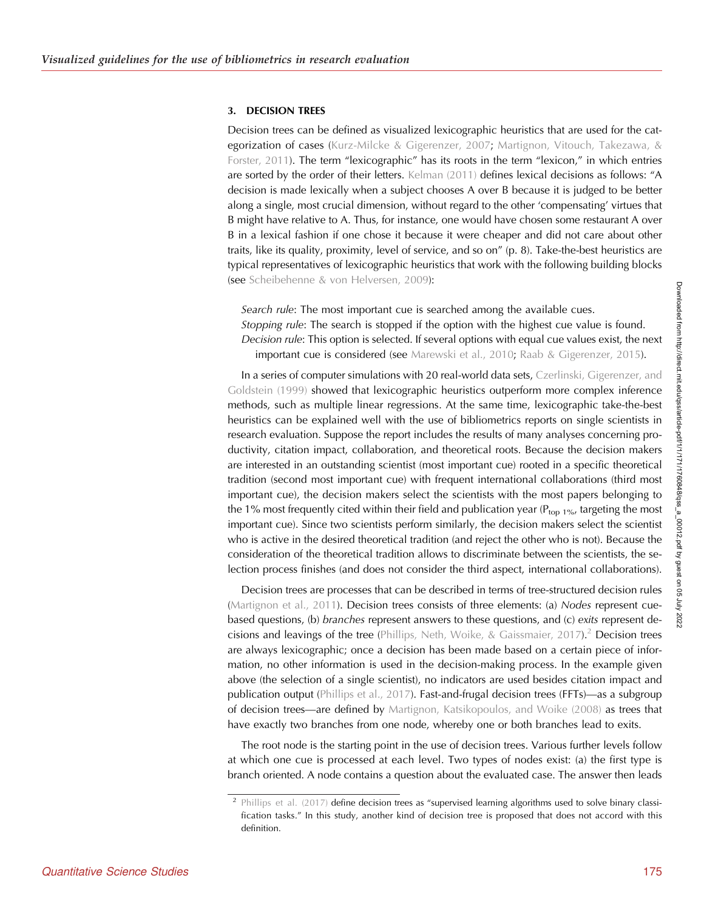# 3. DECISION TREES

Decision trees can be defined as visualized lexicographic heuristics that are used for the categorization of cases [\(Kurz-Milcke & Gigerenzer, 2007;](#page-11-0) [Martignon, Vitouch, Takezawa, &](#page-11-0) [Forster, 2011\)](#page-11-0). The term "lexicographic" has its roots in the term "lexicon," in which entries are sorted by the order of their letters. [Kelman \(2011\)](#page-11-0) defines lexical decisions as follows: "A decision is made lexically when a subject chooses A over B because it is judged to be better along a single, most crucial dimension, without regard to the other 'compensating' virtues that B might have relative to A. Thus, for instance, one would have chosen some restaurant A over B in a lexical fashion if one chose it because it were cheaper and did not care about other traits, like its quality, proximity, level of service, and so on" (p. 8). Take-the-best heuristics are typical representatives of lexicographic heuristics that work with the following building blocks (see [Scheibehenne & von Helversen, 2009\)](#page-11-0):

Search rule: The most important cue is searched among the available cues.

Stopping rule: The search is stopped if the option with the highest cue value is found. Decision rule: This option is selected. If several options with equal cue values exist, the next important cue is considered (see [Marewski et al., 2010;](#page-11-0) [Raab & Gigerenzer, 2015](#page-11-0)).

In a series of computer simulations with 20 real-world data sets, [Czerlinski, Gigerenzer, and](#page-10-0) [Goldstein \(1999\)](#page-10-0) showed that lexicographic heuristics outperform more complex inference methods, such as multiple linear regressions. At the same time, lexicographic take-the-best heuristics can be explained well with the use of bibliometrics reports on single scientists in research evaluation. Suppose the report includes the results of many analyses concerning productivity, citation impact, collaboration, and theoretical roots. Because the decision makers are interested in an outstanding scientist (most important cue) rooted in a specific theoretical tradition (second most important cue) with frequent international collaborations (third most important cue), the decision makers select the scientists with the most papers belonging to the 1% most frequently cited within their field and publication year ( $P_{top 1\%}$ , targeting the most important cue). Since two scientists perform similarly, the decision makers select the scientist who is active in the desired theoretical tradition (and reject the other who is not). Because the consideration of the theoretical tradition allows to discriminate between the scientists, the selection process finishes (and does not consider the third aspect, international collaborations).

Decision trees are processes that can be described in terms of tree-structured decision rules ([Martignon et al., 2011](#page-11-0)). Decision trees consists of three elements: (a) Nodes represent cuebased questions, (b) branches represent answers to these questions, and (c) exits represent de-cisions and leavings of the tree ([Phillips, Neth, Woike, & Gaissmaier, 2017\)](#page-11-0).<sup>2</sup> Decision trees are always lexicographic; once a decision has been made based on a certain piece of information, no other information is used in the decision-making process. In the example given above (the selection of a single scientist), no indicators are used besides citation impact and publication output [\(Phillips et al., 2017](#page-11-0)). Fast-and-frugal decision trees (FFTs)—as a subgroup of decision trees—are defined by [Martignon, Katsikopoulos, and Woike \(2008\)](#page-11-0) as trees that have exactly two branches from one node, whereby one or both branches lead to exits.

The root node is the starting point in the use of decision trees. Various further levels follow at which one cue is processed at each level. Two types of nodes exist: (a) the first type is branch oriented. A node contains a question about the evaluated case. The answer then leads

<sup>&</sup>lt;sup>2</sup> [Phillips et al. \(2017\)](#page-11-0) define decision trees as "supervised learning algorithms used to solve binary classification tasks." In this study, another kind of decision tree is proposed that does not accord with this definition.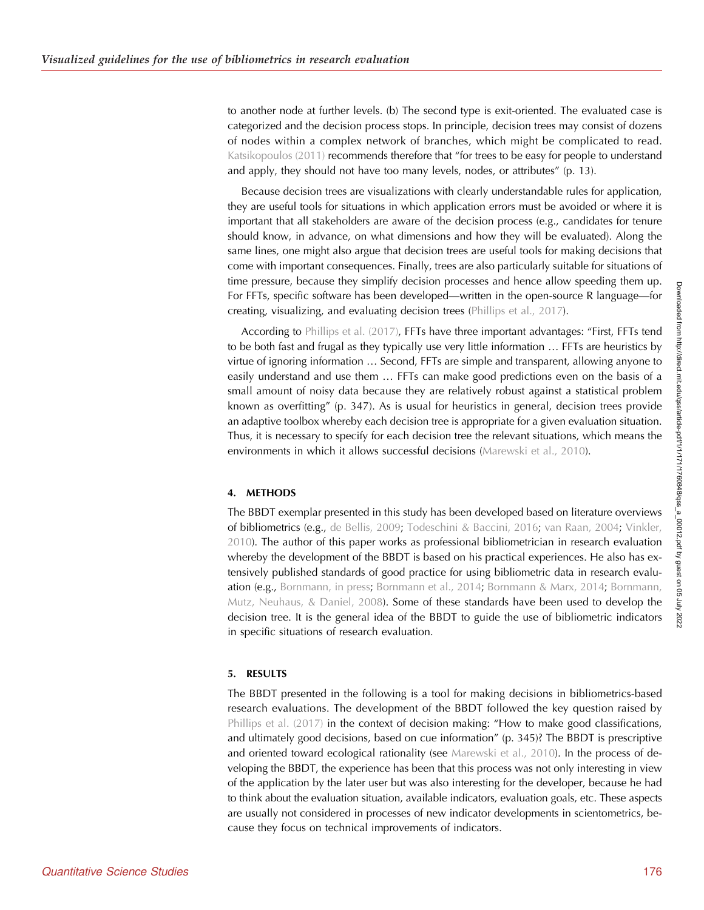to another node at further levels. (b) The second type is exit-oriented. The evaluated case is categorized and the decision process stops. In principle, decision trees may consist of dozens of nodes within a complex network of branches, which might be complicated to read. [Katsikopoulos \(2011\)](#page-11-0) recommends therefore that "for trees to be easy for people to understand and apply, they should not have too many levels, nodes, or attributes" (p. 13).

Because decision trees are visualizations with clearly understandable rules for application, they are useful tools for situations in which application errors must be avoided or where it is important that all stakeholders are aware of the decision process (e.g., candidates for tenure should know, in advance, on what dimensions and how they will be evaluated). Along the same lines, one might also argue that decision trees are useful tools for making decisions that come with important consequences. Finally, trees are also particularly suitable for situations of time pressure, because they simplify decision processes and hence allow speeding them up. For FFTs, specific software has been developed—written in the open-source R language—for creating, visualizing, and evaluating decision trees ([Phillips et al., 2017\)](#page-11-0).

According to [Phillips et al. \(2017\),](#page-11-0) FFTs have three important advantages: "First, FFTs tend to be both fast and frugal as they typically use very little information … FFTs are heuristics by virtue of ignoring information … Second, FFTs are simple and transparent, allowing anyone to easily understand and use them … FFTs can make good predictions even on the basis of a small amount of noisy data because they are relatively robust against a statistical problem known as overfitting" (p. 347). As is usual for heuristics in general, decision trees provide an adaptive toolbox whereby each decision tree is appropriate for a given evaluation situation. Thus, it is necessary to specify for each decision tree the relevant situations, which means the environments in which it allows successful decisions ([Marewski et al., 2010](#page-11-0)).

# 4. METHODS

The BBDT exemplar presented in this study has been developed based on literature overviews of bibliometrics (e.g., [de Bellis, 2009;](#page-10-0) [Todeschini & Baccini, 2016](#page-11-0); [van Raan, 2004;](#page-11-0) [Vinkler,](#page-11-0) [2010\)](#page-11-0). The author of this paper works as professional bibliometrician in research evaluation whereby the development of the BBDT is based on his practical experiences. He also has extensively published standards of good practice for using bibliometric data in research evaluation (e.g., [Bornmann, in press](#page-10-0); [Bornmann et al., 2014;](#page-10-0) [Bornmann & Marx, 2014;](#page-10-0) [Bornmann,](#page-10-0) [Mutz, Neuhaus, & Daniel, 2008](#page-10-0)). Some of these standards have been used to develop the decision tree. It is the general idea of the BBDT to guide the use of bibliometric indicators in specific situations of research evaluation.

# 5. RESULTS

The BBDT presented in the following is a tool for making decisions in bibliometrics-based research evaluations. The development of the BBDT followed the key question raised by [Phillips et al. \(2017\)](#page-11-0) in the context of decision making: "How to make good classifications, and ultimately good decisions, based on cue information" (p. 345)? The BBDT is prescriptive and oriented toward ecological rationality (see [Marewski et al., 2010\)](#page-11-0). In the process of developing the BBDT, the experience has been that this process was not only interesting in view of the application by the later user but was also interesting for the developer, because he had to think about the evaluation situation, available indicators, evaluation goals, etc. These aspects are usually not considered in processes of new indicator developments in scientometrics, because they focus on technical improvements of indicators.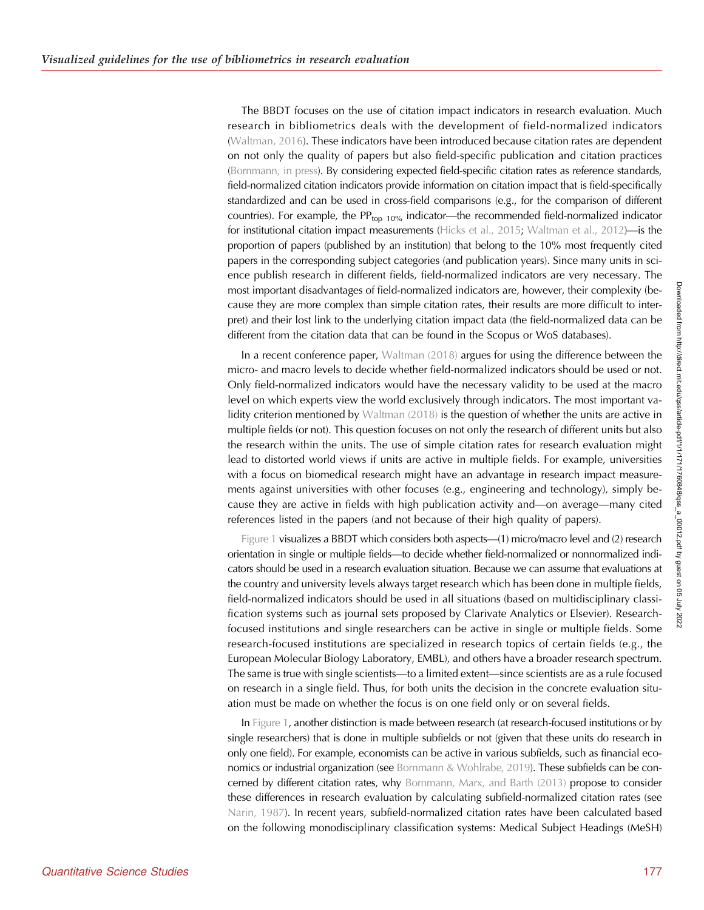The BBDT focuses on the use of citation impact indicators in research evaluation. Much research in bibliometrics deals with the development of field-normalized indicators ([Waltman, 2016\)](#page-11-0). These indicators have been introduced because citation rates are dependent on not only the quality of papers but also field-specific publication and citation practices [\(Bornmann, in press](#page-10-0)). By considering expected field-specific citation rates as reference standards, field-normalized citation indicators provide information on citation impact that is field-specifically standardized and can be used in cross-field comparisons (e.g., for the comparison of different countries). For example, the  $PP_{top 10\%}$  indicator—the recommended field-normalized indicator for institutional citation impact measurements ([Hicks et al., 2015](#page-10-0); [Waltman et al., 2012](#page-11-0))—is the proportion of papers (published by an institution) that belong to the 10% most frequently cited papers in the corresponding subject categories (and publication years). Since many units in science publish research in different fields, field-normalized indicators are very necessary. The most important disadvantages of field-normalized indicators are, however, their complexity (because they are more complex than simple citation rates, their results are more difficult to interpret) and their lost link to the underlying citation impact data (the field-normalized data can be different from the citation data that can be found in the Scopus or WoS databases).

In a recent conference paper, [Waltman \(2018\)](#page-11-0) argues for using the difference between the micro- and macro levels to decide whether field-normalized indicators should be used or not. Only field-normalized indicators would have the necessary validity to be used at the macro level on which experts view the world exclusively through indicators. The most important va-lidity criterion mentioned by [Waltman \(2018\)](#page-11-0) is the question of whether the units are active in multiple fields (or not). This question focuses on not only the research of different units but also the research within the units. The use of simple citation rates for research evaluation might lead to distorted world views if units are active in multiple fields. For example, universities with a focus on biomedical research might have an advantage in research impact measurements against universities with other focuses (e.g., engineering and technology), simply because they are active in fields with high publication activity and—on average—many cited references listed in the papers (and not because of their high quality of papers).

[Figure 1](#page-7-0) visualizes a BBDT which considers both aspects—(1) micro/macro level and (2) research orientation in single or multiple fields—to decide whether field-normalized or nonnormalized indicators should be used in a research evaluation situation. Because we can assume that evaluations at the country and university levels always target research which has been done in multiple fields, field-normalized indicators should be used in all situations (based on multidisciplinary classification systems such as journal sets proposed by Clarivate Analytics or Elsevier). Researchfocused institutions and single researchers can be active in single or multiple fields. Some research-focused institutions are specialized in research topics of certain fields (e.g., the European Molecular Biology Laboratory, EMBL), and others have a broader research spectrum. The same is true with single scientists—to a limited extent—since scientists are as a rule focused on research in a single field. Thus, for both units the decision in the concrete evaluation situation must be made on whether the focus is on one field only or on several fields.

In [Figure 1](#page-7-0), another distinction is made between research (at research-focused institutions or by single researchers) that is done in multiple subfields or not (given that these units do research in only one field). For example, economists can be active in various subfields, such as financial economics or industrial organization (see [Bornmann & Wohlrabe, 2019](#page-10-0)). These subfields can be concerned by different citation rates, why [Bornmann, Marx, and Barth \(2013\)](#page-10-0) propose to consider these differences in research evaluation by calculating subfield-normalized citation rates (see [Narin, 1987\)](#page-11-0). In recent years, subfield-normalized citation rates have been calculated based on the following monodisciplinary classification systems: Medical Subject Headings (MeSH)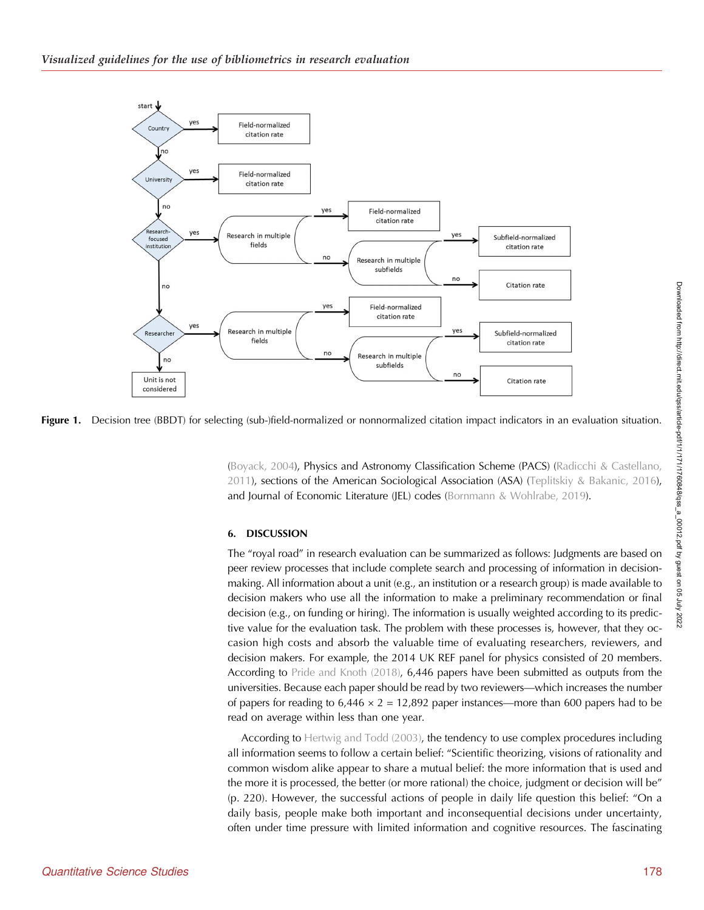<span id="page-7-0"></span>

Figure 1. Decision tree (BBDT) for selecting (sub-)field-normalized or nonnormalized citation impact indicators in an evaluation situation.

[\(Boyack, 2004](#page-10-0)), Physics and Astronomy Classification Scheme (PACS) [\(Radicchi & Castellano,](#page-11-0) [2011\)](#page-11-0), sections of the American Sociological Association (ASA) ([Teplitskiy & Bakanic, 2016\)](#page-11-0), and Journal of Economic Literature (JEL) codes [\(Bornmann & Wohlrabe, 2019](#page-10-0)).

# 6. DISCUSSION

The "royal road" in research evaluation can be summarized as follows: Judgments are based on peer review processes that include complete search and processing of information in decisionmaking. All information about a unit (e.g., an institution or a research group) is made available to decision makers who use all the information to make a preliminary recommendation or final decision (e.g., on funding or hiring). The information is usually weighted according to its predictive value for the evaluation task. The problem with these processes is, however, that they occasion high costs and absorb the valuable time of evaluating researchers, reviewers, and decision makers. For example, the 2014 UK REF panel for physics consisted of 20 members. According to [Pride and Knoth \(2018\)](#page-11-0), 6,446 papers have been submitted as outputs from the universities. Because each paper should be read by two reviewers—which increases the number of papers for reading to  $6,446 \times 2 = 12,892$  paper instances—more than 600 papers had to be read on average within less than one year.

According to [Hertwig and Todd \(2003\),](#page-10-0) the tendency to use complex procedures including all information seems to follow a certain belief: "Scientific theorizing, visions of rationality and common wisdom alike appear to share a mutual belief: the more information that is used and the more it is processed, the better (or more rational) the choice, judgment or decision will be" (p. 220). However, the successful actions of people in daily life question this belief: "On a daily basis, people make both important and inconsequential decisions under uncertainty, often under time pressure with limited information and cognitive resources. The fascinating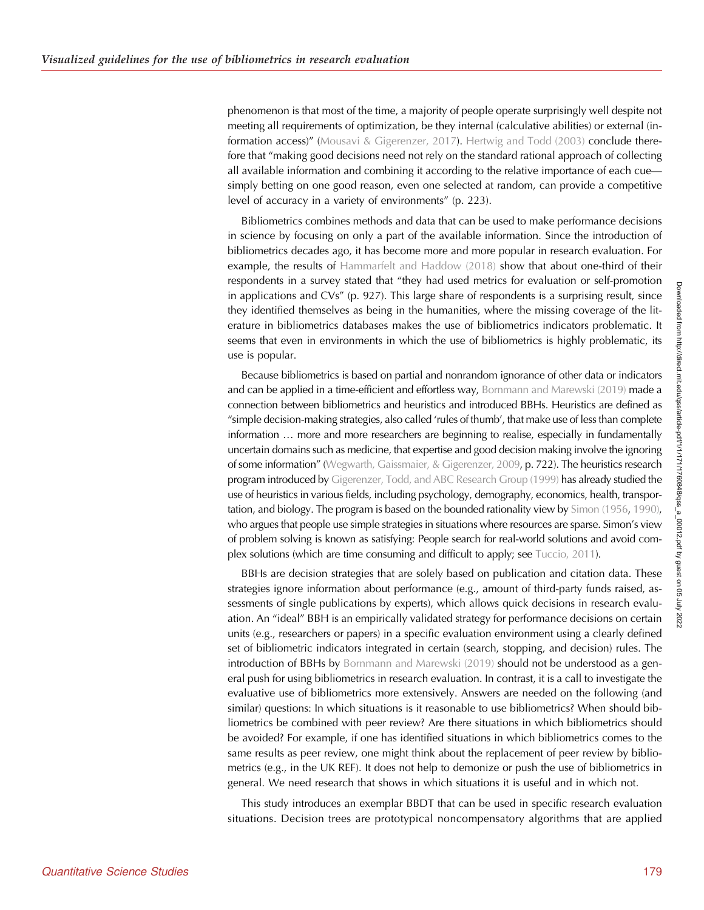phenomenon is that most of the time, a majority of people operate surprisingly well despite not meeting all requirements of optimization, be they internal (calculative abilities) or external (information access)" ([Mousavi & Gigerenzer, 2017](#page-11-0)). [Hertwig and Todd \(2003\)](#page-10-0) conclude therefore that "making good decisions need not rely on the standard rational approach of collecting all available information and combining it according to the relative importance of each cue simply betting on one good reason, even one selected at random, can provide a competitive level of accuracy in a variety of environments" (p. 223).

Bibliometrics combines methods and data that can be used to make performance decisions in science by focusing on only a part of the available information. Since the introduction of bibliometrics decades ago, it has become more and more popular in research evaluation. For example, the results of [Hammarfelt and Haddow \(2018\)](#page-10-0) show that about one-third of their respondents in a survey stated that "they had used metrics for evaluation or self-promotion in applications and CVs" (p. 927). This large share of respondents is a surprising result, since they identified themselves as being in the humanities, where the missing coverage of the literature in bibliometrics databases makes the use of bibliometrics indicators problematic. It seems that even in environments in which the use of bibliometrics is highly problematic, its use is popular.

Because bibliometrics is based on partial and nonrandom ignorance of other data or indicators and can be applied in a time-efficient and effortless way, [Bornmann and Marewski \(2019\)](#page-10-0) made a connection between bibliometrics and heuristics and introduced BBHs. Heuristics are defined as "simple decision-making strategies, also called 'rules of thumb', that make use of less than complete information … more and more researchers are beginning to realise, especially in fundamentally uncertain domains such as medicine, that expertise and good decision making involve the ignoring of some information" ([Wegwarth, Gaissmaier, & Gigerenzer, 2009](#page-11-0), p. 722). The heuristics research program introduced by [Gigerenzer, Todd, and ABC Research Group \(1999\)](#page-10-0) has already studied the use of heuristics in various fields, including psychology, demography, economics, health, transportation, and biology. The program is based on the bounded rationality view by [Simon \(1956](#page-11-0), [1990\)](#page-11-0), who argues that people use simple strategies in situations where resources are sparse. Simon's view of problem solving is known as satisfying: People search for real-world solutions and avoid complex solutions (which are time consuming and difficult to apply; see [Tuccio, 2011](#page-11-0)).

BBHs are decision strategies that are solely based on publication and citation data. These strategies ignore information about performance (e.g., amount of third-party funds raised, assessments of single publications by experts), which allows quick decisions in research evaluation. An "ideal" BBH is an empirically validated strategy for performance decisions on certain units (e.g., researchers or papers) in a specific evaluation environment using a clearly defined set of bibliometric indicators integrated in certain (search, stopping, and decision) rules. The introduction of BBHs by [Bornmann and Marewski \(2019\)](#page-10-0) should not be understood as a general push for using bibliometrics in research evaluation. In contrast, it is a call to investigate the evaluative use of bibliometrics more extensively. Answers are needed on the following (and similar) questions: In which situations is it reasonable to use bibliometrics? When should bibliometrics be combined with peer review? Are there situations in which bibliometrics should be avoided? For example, if one has identified situations in which bibliometrics comes to the same results as peer review, one might think about the replacement of peer review by bibliometrics (e.g., in the UK REF). It does not help to demonize or push the use of bibliometrics in general. We need research that shows in which situations it is useful and in which not.

This study introduces an exemplar BBDT that can be used in specific research evaluation situations. Decision trees are prototypical noncompensatory algorithms that are applied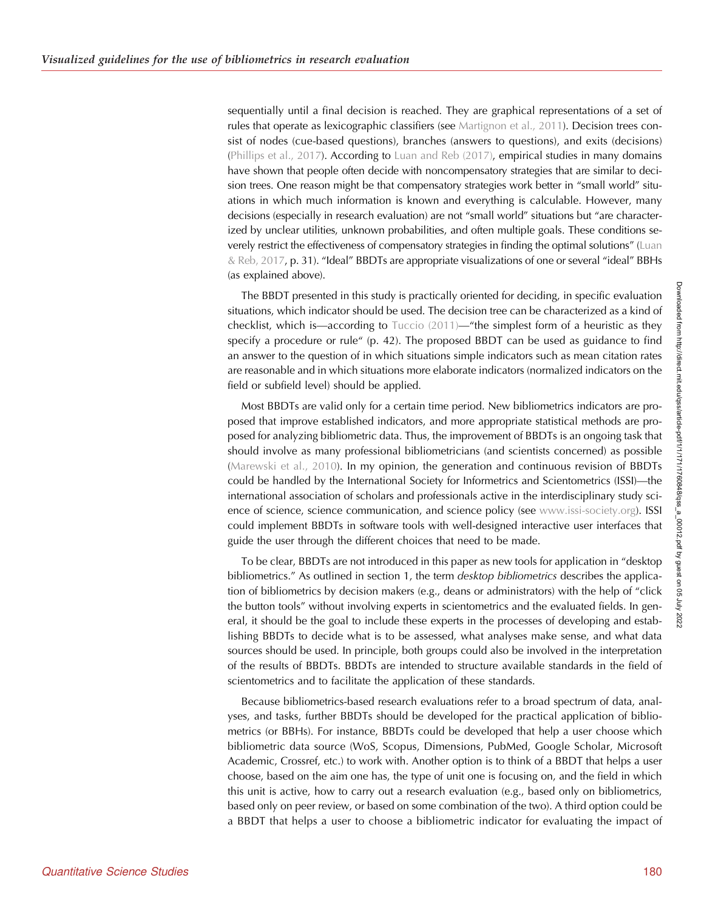sequentially until a final decision is reached. They are graphical representations of a set of rules that operate as lexicographic classifiers (see [Martignon et al., 2011\)](#page-11-0). Decision trees consist of nodes (cue-based questions), branches (answers to questions), and exits (decisions) ([Phillips et al., 2017\)](#page-11-0). According to [Luan and Reb \(2017\),](#page-11-0) empirical studies in many domains have shown that people often decide with noncompensatory strategies that are similar to decision trees. One reason might be that compensatory strategies work better in "small world" situations in which much information is known and everything is calculable. However, many decisions (especially in research evaluation) are not "small world" situations but "are characterized by unclear utilities, unknown probabilities, and often multiple goals. These conditions severely restrict the effectiveness of compensatory strategies in finding the optimal solutions" [\(Luan](#page-11-0) [& Reb, 2017,](#page-11-0) p. 31). "Ideal" BBDTs are appropriate visualizations of one or several "ideal" BBHs (as explained above).

The BBDT presented in this study is practically oriented for deciding, in specific evaluation situations, which indicator should be used. The decision tree can be characterized as a kind of checklist, which is—according to Tuccio  $(2011)$ —"the simplest form of a heuristic as they specify a procedure or rule" (p. 42). The proposed BBDT can be used as guidance to find an answer to the question of in which situations simple indicators such as mean citation rates are reasonable and in which situations more elaborate indicators (normalized indicators on the field or subfield level) should be applied.

Most BBDTs are valid only for a certain time period. New bibliometrics indicators are proposed that improve established indicators, and more appropriate statistical methods are proposed for analyzing bibliometric data. Thus, the improvement of BBDTs is an ongoing task that should involve as many professional bibliometricians (and scientists concerned) as possible ([Marewski et al., 2010\)](#page-11-0). In my opinion, the generation and continuous revision of BBDTs could be handled by the International Society for Informetrics and Scientometrics (ISSI)—the international association of scholars and professionals active in the interdisciplinary study science of science, science communication, and science policy (see [www.issi-society.org](http://www.issi-society.org)). ISSI could implement BBDTs in software tools with well-designed interactive user interfaces that guide the user through the different choices that need to be made.

To be clear, BBDTs are not introduced in this paper as new tools for application in "desktop bibliometrics." As outlined in section 1, the term *desktop bibliometrics* describes the application of bibliometrics by decision makers (e.g., deans or administrators) with the help of "click the button tools" without involving experts in scientometrics and the evaluated fields. In general, it should be the goal to include these experts in the processes of developing and establishing BBDTs to decide what is to be assessed, what analyses make sense, and what data sources should be used. In principle, both groups could also be involved in the interpretation of the results of BBDTs. BBDTs are intended to structure available standards in the field of scientometrics and to facilitate the application of these standards.

Because bibliometrics-based research evaluations refer to a broad spectrum of data, analyses, and tasks, further BBDTs should be developed for the practical application of bibliometrics (or BBHs). For instance, BBDTs could be developed that help a user choose which bibliometric data source (WoS, Scopus, Dimensions, PubMed, Google Scholar, Microsoft Academic, Crossref, etc.) to work with. Another option is to think of a BBDT that helps a user choose, based on the aim one has, the type of unit one is focusing on, and the field in which this unit is active, how to carry out a research evaluation (e.g., based only on bibliometrics, based only on peer review, or based on some combination of the two). A third option could be a BBDT that helps a user to choose a bibliometric indicator for evaluating the impact of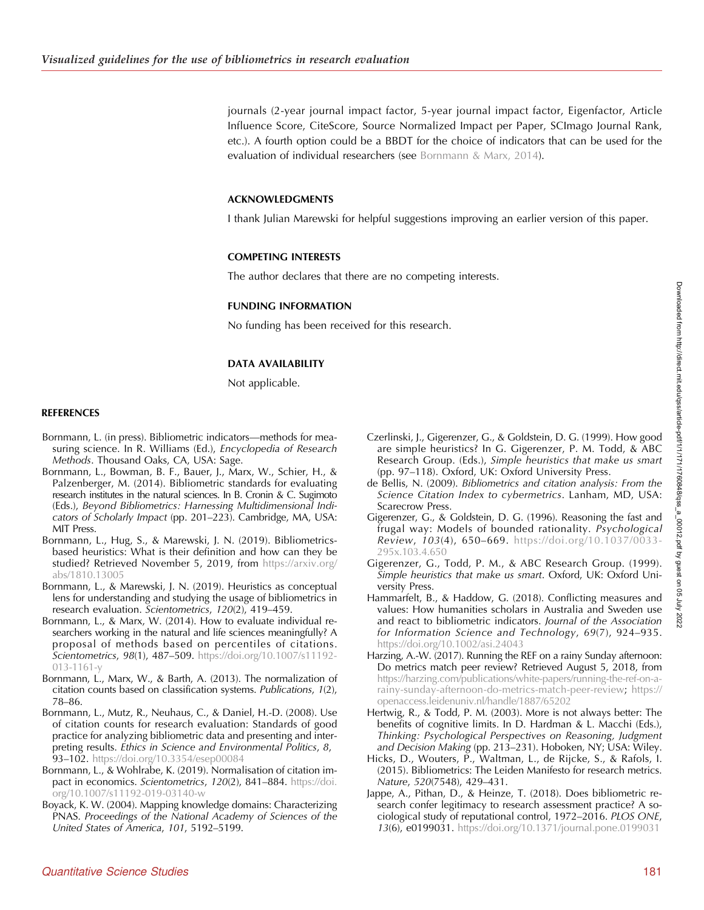<span id="page-10-0"></span>journals (2-year journal impact factor, 5-year journal impact factor, Eigenfactor, Article Influence Score, CiteScore, Source Normalized Impact per Paper, SCImago Journal Rank, etc.). A fourth option could be a BBDT for the choice of indicators that can be used for the evaluation of individual researchers (see Bornmann & Marx, 2014).

# ACKNOWLEDGMENTS

I thank Julian Marewski for helpful suggestions improving an earlier version of this paper.

# COMPETING INTERESTS

The author declares that there are no competing interests.

# FUNDING INFORMATION

No funding has been received for this research.

# DATA AVAILABILITY

Not applicable.

# **REFERENCES**

- Bornmann, L. (in press). Bibliometric indicators—methods for measuring science. In R. Williams (Ed.), Encyclopedia of Research Methods. Thousand Oaks, CA, USA: Sage.
- Bornmann, L., Bowman, B. F., Bauer, J., Marx, W., Schier, H., & Palzenberger, M. (2014). Bibliometric standards for evaluating research institutes in the natural sciences. In B. Cronin & C. Sugimoto (Eds.), Beyond Bibliometrics: Harnessing Multidimensional Indicators of Scholarly Impact (pp. 201–223). Cambridge, MA, USA: MIT Press.
- Bornmann, L., Hug, S., & Marewski, J. N. (2019). Bibliometricsbased heuristics: What is their definition and how can they be studied? Retrieved November 5, 2019, from [https://arxiv.org/](https://arxiv.org/abs/1810.13005) [abs/1810.13005](https://arxiv.org/abs/1810.13005)
- Bornmann, L., & Marewski, J. N. (2019). Heuristics as conceptual lens for understanding and studying the usage of bibliometrics in research evaluation. Scientometrics, 120(2), 419–459.
- Bornmann, L., & Marx, W. (2014). How to evaluate individual researchers working in the natural and life sciences meaningfully? A proposal of methods based on percentiles of citations. Scientometrics, 98(1), 487-509. [https://doi.org/10.1007/s11192-](https://doi.org/10.1007/s11192-013-1161-y) [013-1161-y](https://doi.org/10.1007/s11192-013-1161-y)
- Bornmann, L., Marx, W., & Barth, A. (2013). The normalization of citation counts based on classification systems. Publications, 1(2), 78–86.
- Bornmann, L., Mutz, R., Neuhaus, C., & Daniel, H.-D. (2008). Use of citation counts for research evaluation: Standards of good practice for analyzing bibliometric data and presenting and interpreting results. Ethics in Science and Environmental Politics, 8, 93–102. <https://doi.org/10.3354/esep00084>
- Bornmann, L., & Wohlrabe, K. (2019). Normalisation of citation impact in economics. Scientometrics, 120(2), 841-884. [https://doi.](https://doi.org/10.1007/s11192-019-03140-w) [org/10.1007/s11192-019-03140-w](https://doi.org/10.1007/s11192-019-03140-w)
- Boyack, K. W. (2004). Mapping knowledge domains: Characterizing PNAS. Proceedings of the National Academy of Sciences of the United States of America, 101, 5192–5199.
- Czerlinski, J., Gigerenzer, G., & Goldstein, D. G. (1999). How good are simple heuristics? In G. Gigerenzer, P. M. Todd, & ABC Research Group. (Eds.), Simple heuristics that make us smart (pp. 97–118). Oxford, UK: Oxford University Press.
- de Bellis, N. (2009). Bibliometrics and citation analysis: From the Science Citation Index to cybermetrics. Lanham, MD, USA: Scarecrow Press.
- Gigerenzer, G., & Goldstein, D. G. (1996). Reasoning the fast and frugal way: Models of bounded rationality. Psychological Review, 103(4), 650–669. [https://doi.org/10.1037/0033-](https://doi.org/10.1037/0033-295x.103.4.650) [295x.103.4.650](https://doi.org/10.1037/0033-295x.103.4.650)
- Gigerenzer, G., Todd, P. M., & ABC Research Group. (1999). Simple heuristics that make us smart. Oxford, UK: Oxford University Press.
- Hammarfelt, B., & Haddow, G. (2018). Conflicting measures and values: How humanities scholars in Australia and Sweden use and react to bibliometric indicators. Journal of the Association for Information Science and Technology, 69(7), 924–935. <https://doi.org/10.1002/asi.24043>
- Harzing, A.-W. (2017). Running the REF on a rainy Sunday afternoon: Do metrics match peer review? Retrieved August 5, 2018, from [https://harzing.com/publications/white-papers/running-the-ref-on-a](https://harzing.com/publications/white-papers/running-the-ref-on-a-rainy-sunday-afternoon-do-metrics-match-peer-review)[rainy-sunday-afternoon-do-metrics-match-peer-review](https://harzing.com/publications/white-papers/running-the-ref-on-a-rainy-sunday-afternoon-do-metrics-match-peer-review); [https://](https://openaccess.leidenuniv.nl/handle/1887/65202) [openaccess.leidenuniv.nl/handle/1887/65202](https://openaccess.leidenuniv.nl/handle/1887/65202)
- Hertwig, R., & Todd, P. M. (2003). More is not always better: The benefits of cognitive limits. In D. Hardman & L. Macchi (Eds.), Thinking: Psychological Perspectives on Reasoning, Judgment and Decision Making (pp. 213–231). Hoboken, NY; USA: Wiley.
- Hicks, D., Wouters, P., Waltman, L., de Rijcke, S., & Rafols, I. (2015). Bibliometrics: The Leiden Manifesto for research metrics. Nature, 520(7548), 429–431.
- Jappe, A., Pithan, D., & Heinze, T. (2018). Does bibliometric research confer legitimacy to research assessment practice? A sociological study of reputational control, 1972–2016. PLOS ONE, 13(6), e0199031. <https://doi.org/10.1371/journal.pone.0199031>